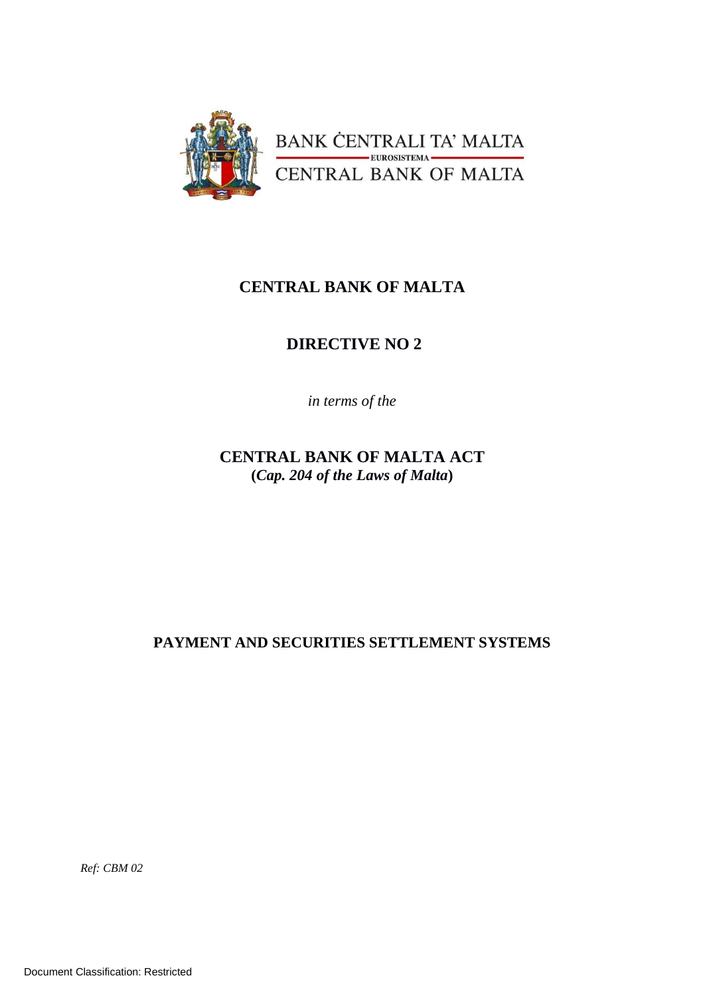

# **CENTRAL BANK OF MALTA**

# **DIRECTIVE NO 2**

*in terms of the*

**CENTRAL BANK OF MALTA ACT (***Cap. 204 of the Laws of Malta***)**

**PAYMENT AND SECURITIES SETTLEMENT SYSTEMS**

*Ref: CBM 02*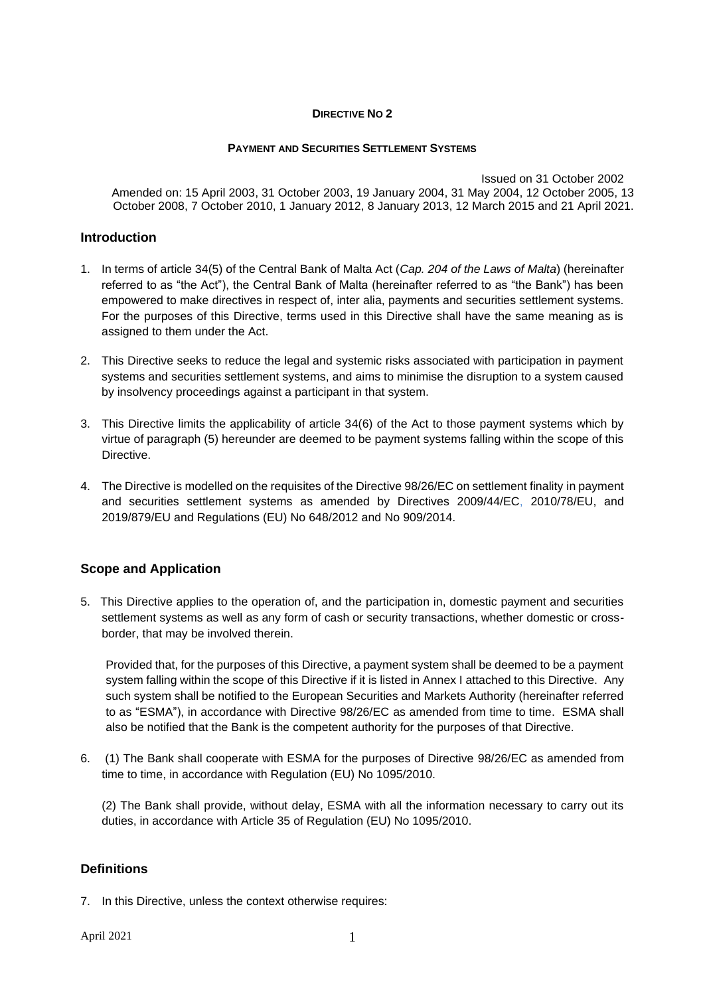#### **DIRECTIVE NO 2**

#### **PAYMENT AND SECURITIES SETTLEMENT SYSTEMS**

Issued on 31 October 2002 Amended on: 15 April 2003, 31 October 2003, 19 January 2004, 31 May 2004, 12 October 2005, 13 October 2008, 7 October 2010, 1 January 2012, 8 January 2013, 12 March 2015 and 21 April 2021.

### **Introduction**

- 1. In terms of article 34(5) of the Central Bank of Malta Act (*Cap. 204 of the Laws of Malta*) (hereinafter referred to as "the Act"), the Central Bank of Malta (hereinafter referred to as "the Bank") has been empowered to make directives in respect of, inter alia, payments and securities settlement systems. For the purposes of this Directive, terms used in this Directive shall have the same meaning as is assigned to them under the Act.
- 2. This Directive seeks to reduce the legal and systemic risks associated with participation in payment systems and securities settlement systems, and aims to minimise the disruption to a system caused by insolvency proceedings against a participant in that system.
- 3. This Directive limits the applicability of article 34(6) of the Act to those payment systems which by virtue of paragraph (5) hereunder are deemed to be payment systems falling within the scope of this Directive.
- 4. The Directive is modelled on the requisites of the Directive 98/26/EC on settlement finality in payment and securities settlement systems as amended by Directives 2009/44/EC, 2010/78/EU, and 2019/879/EU and Regulations (EU) No 648/2012 and No 909/2014.

# **Scope and Application**

5. This Directive applies to the operation of, and the participation in, domestic payment and securities settlement systems as well as any form of cash or security transactions, whether domestic or crossborder, that may be involved therein.

Provided that, for the purposes of this Directive, a payment system shall be deemed to be a payment system falling within the scope of this Directive if it is listed in Annex I attached to this Directive. Any such system shall be notified to the European Securities and Markets Authority (hereinafter referred to as "ESMA"), in accordance with Directive 98/26/EC as amended from time to time. ESMA shall also be notified that the Bank is the competent authority for the purposes of that Directive.

6. (1) The Bank shall cooperate with ESMA for the purposes of Directive 98/26/EC as amended from time to time, in accordance with Regulation (EU) No 1095/2010.

(2) The Bank shall provide, without delay, ESMA with all the information necessary to carry out its duties, in accordance with Article 35 of Regulation (EU) No 1095/2010.

# **Definitions**

7. In this Directive, unless the context otherwise requires:

April 2021 1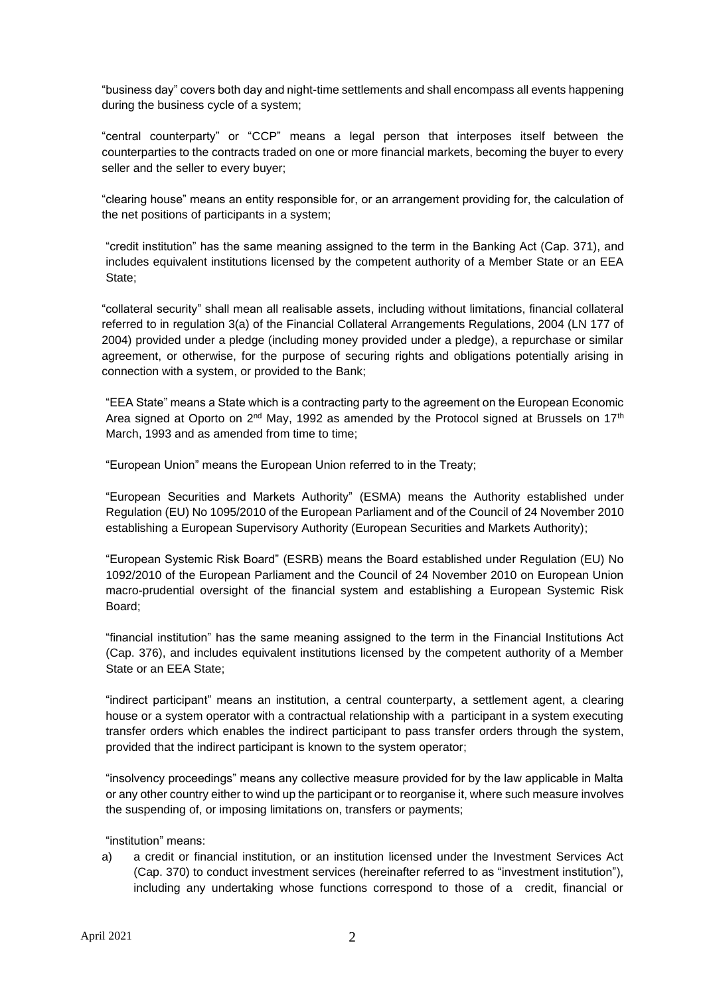"business day" covers both day and night-time settlements and shall encompass all events happening during the business cycle of a system;

"central counterparty" or "CCP" means a legal person that interposes itself between the counterparties to the contracts traded on one or more financial markets, becoming the buyer to every seller and the seller to every buyer;

"clearing house" means an entity responsible for, or an arrangement providing for, the calculation of the net positions of participants in a system;

"credit institution" has the same meaning assigned to the term in the Banking Act (Cap. 371), and includes equivalent institutions licensed by the competent authority of a Member State or an EEA State;

"collateral security" shall mean all realisable assets, including without limitations, financial collateral referred to in regulation 3(a) of the Financial Collateral Arrangements Regulations, 2004 (LN 177 of 2004) provided under a pledge (including money provided under a pledge), a repurchase or similar agreement, or otherwise, for the purpose of securing rights and obligations potentially arising in connection with a system, or provided to the Bank;

"EEA State" means a State which is a contracting party to the agreement on the European Economic Area signed at Oporto on  $2^{nd}$  May, 1992 as amended by the Protocol signed at Brussels on 17<sup>th</sup> March, 1993 and as amended from time to time;

"European Union" means the European Union referred to in the Treaty;

"European Securities and Markets Authority" (ESMA) means the Authority established under Regulation (EU) No 1095/2010 of the European Parliament and of the Council of 24 November 2010 establishing a European Supervisory Authority (European Securities and Markets Authority);

"European Systemic Risk Board" (ESRB) means the Board established under Regulation (EU) No 1092/2010 of the European Parliament and the Council of 24 November 2010 on European Union macro-prudential oversight of the financial system and establishing a European Systemic Risk Board;

"financial institution" has the same meaning assigned to the term in the Financial Institutions Act (Cap. 376), and includes equivalent institutions licensed by the competent authority of a Member State or an EEA State;

"indirect participant" means an institution, a central counterparty, a settlement agent, a clearing house or a system operator with a contractual relationship with a participant in a system executing transfer orders which enables the indirect participant to pass transfer orders through the system, provided that the indirect participant is known to the system operator;

"insolvency proceedings" means any collective measure provided for by the law applicable in Malta or any other country either to wind up the participant or to reorganise it, where such measure involves the suspending of, or imposing limitations on, transfers or payments;

"institution" means:

a) a credit or financial institution, or an institution licensed under the Investment Services Act (Cap. 370) to conduct investment services (hereinafter referred to as "investment institution"), including any undertaking whose functions correspond to those of a credit, financial or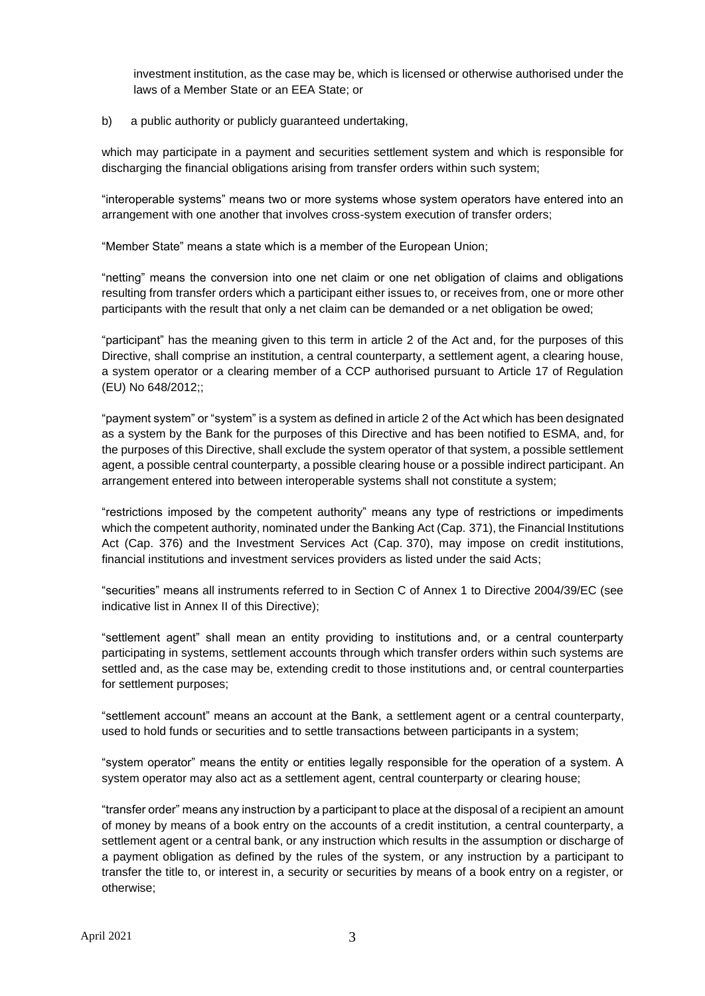investment institution, as the case may be, which is licensed or otherwise authorised under the laws of a Member State or an EEA State; or

#### b) a public authority or publicly guaranteed undertaking,

which may participate in a payment and securities settlement system and which is responsible for discharging the financial obligations arising from transfer orders within such system;

"interoperable systems" means two or more systems whose system operators have entered into an arrangement with one another that involves cross-system execution of transfer orders;

"Member State" means a state which is a member of the European Union;

"netting" means the conversion into one net claim or one net obligation of claims and obligations resulting from transfer orders which a participant either issues to, or receives from, one or more other participants with the result that only a net claim can be demanded or a net obligation be owed;

"participant" has the meaning given to this term in article 2 of the Act and, for the purposes of this Directive, shall comprise an institution, a central counterparty, a settlement agent, a clearing house, a system operator or a clearing member of a CCP authorised pursuant to Article 17 of Regulation (EU) No 648/2012;;

"payment system" or "system" is a system as defined in article 2 of the Act which has been designated as a system by the Bank for the purposes of this Directive and has been notified to ESMA, and, for the purposes of this Directive, shall exclude the system operator of that system, a possible settlement agent, a possible central counterparty, a possible clearing house or a possible indirect participant. An arrangement entered into between interoperable systems shall not constitute a system;

"restrictions imposed by the competent authority" means any type of restrictions or impediments which the competent authority, nominated under the Banking Act (Cap. 371), the Financial Institutions Act (Cap. 376) and the Investment Services Act (Cap. 370), may impose on credit institutions, financial institutions and investment services providers as listed under the said Acts;

"securities" means all instruments referred to in Section C of Annex 1 to Directive 2004/39/EC (see indicative list in Annex II of this Directive);

"settlement agent" shall mean an entity providing to institutions and, or a central counterparty participating in systems, settlement accounts through which transfer orders within such systems are settled and, as the case may be, extending credit to those institutions and, or central counterparties for settlement purposes;

"settlement account" means an account at the Bank, a settlement agent or a central counterparty, used to hold funds or securities and to settle transactions between participants in a system;

"system operator" means the entity or entities legally responsible for the operation of a system. A system operator may also act as a settlement agent, central counterparty or clearing house;

"transfer order" means any instruction by a participant to place at the disposal of a recipient an amount of money by means of a book entry on the accounts of a credit institution, a central counterparty, a settlement agent or a central bank, or any instruction which results in the assumption or discharge of a payment obligation as defined by the rules of the system, or any instruction by a participant to transfer the title to, or interest in, a security or securities by means of a book entry on a register, or otherwise;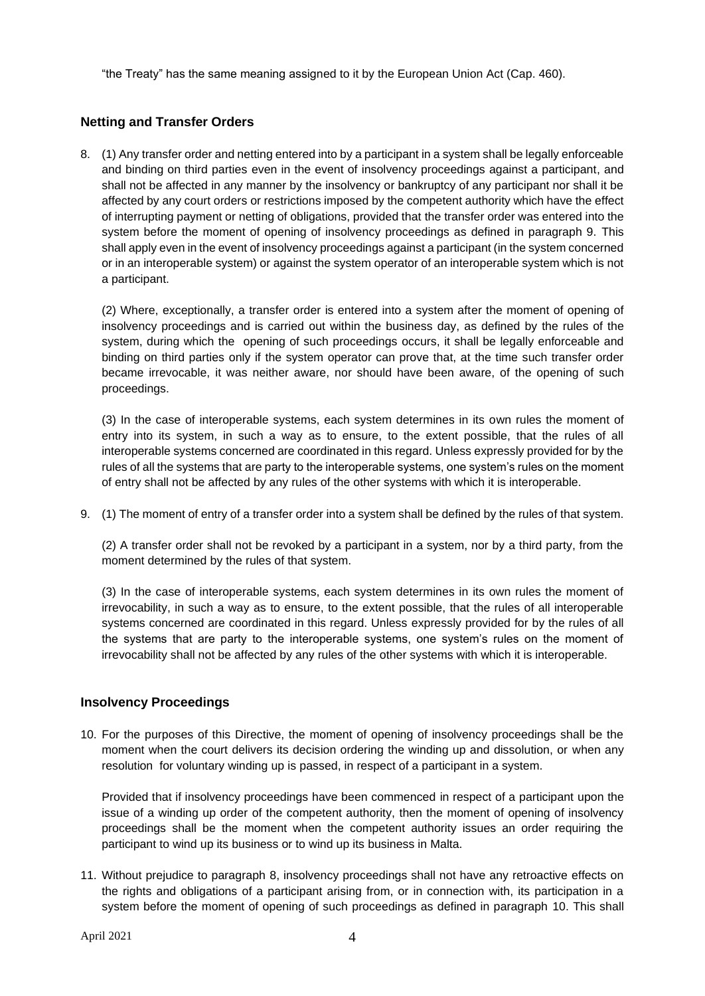"the Treaty" has the same meaning assigned to it by the European Union Act (Cap. 460).

# **Netting and Transfer Orders**

8. (1) Any transfer order and netting entered into by a participant in a system shall be legally enforceable and binding on third parties even in the event of insolvency proceedings against a participant, and shall not be affected in any manner by the insolvency or bankruptcy of any participant nor shall it be affected by any court orders or restrictions imposed by the competent authority which have the effect of interrupting payment or netting of obligations, provided that the transfer order was entered into the system before the moment of opening of insolvency proceedings as defined in paragraph 9. This shall apply even in the event of insolvency proceedings against a participant (in the system concerned or in an interoperable system) or against the system operator of an interoperable system which is not a participant.

(2) Where, exceptionally, a transfer order is entered into a system after the moment of opening of insolvency proceedings and is carried out within the business day, as defined by the rules of the system, during which the opening of such proceedings occurs, it shall be legally enforceable and binding on third parties only if the system operator can prove that, at the time such transfer order became irrevocable, it was neither aware, nor should have been aware, of the opening of such proceedings.

(3) In the case of interoperable systems, each system determines in its own rules the moment of entry into its system, in such a way as to ensure, to the extent possible, that the rules of all interoperable systems concerned are coordinated in this regard. Unless expressly provided for by the rules of all the systems that are party to the interoperable systems, one system's rules on the moment of entry shall not be affected by any rules of the other systems with which it is interoperable.

9. (1) The moment of entry of a transfer order into a system shall be defined by the rules of that system.

(2) A transfer order shall not be revoked by a participant in a system, nor by a third party, from the moment determined by the rules of that system.

(3) In the case of interoperable systems, each system determines in its own rules the moment of irrevocability, in such a way as to ensure, to the extent possible, that the rules of all interoperable systems concerned are coordinated in this regard. Unless expressly provided for by the rules of all the systems that are party to the interoperable systems, one system's rules on the moment of irrevocability shall not be affected by any rules of the other systems with which it is interoperable.

#### **Insolvency Proceedings**

10. For the purposes of this Directive, the moment of opening of insolvency proceedings shall be the moment when the court delivers its decision ordering the winding up and dissolution, or when any resolution for voluntary winding up is passed, in respect of a participant in a system.

Provided that if insolvency proceedings have been commenced in respect of a participant upon the issue of a winding up order of the competent authority, then the moment of opening of insolvency proceedings shall be the moment when the competent authority issues an order requiring the participant to wind up its business or to wind up its business in Malta.

11. Without prejudice to paragraph 8, insolvency proceedings shall not have any retroactive effects on the rights and obligations of a participant arising from, or in connection with, its participation in a system before the moment of opening of such proceedings as defined in paragraph 10. This shall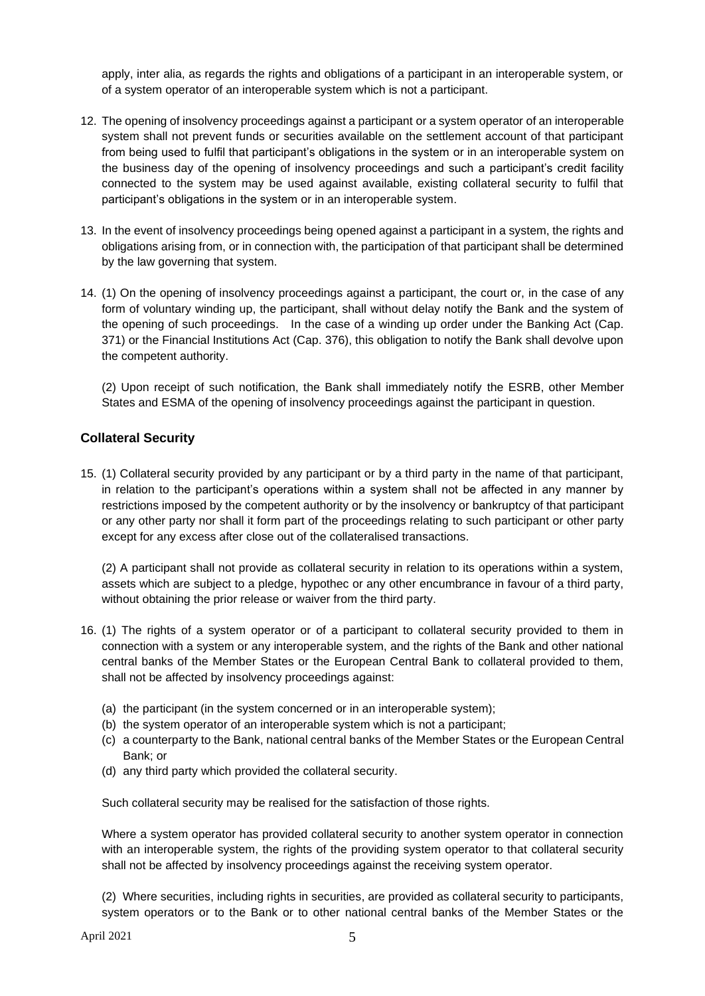apply, inter alia, as regards the rights and obligations of a participant in an interoperable system, or of a system operator of an interoperable system which is not a participant.

- 12. The opening of insolvency proceedings against a participant or a system operator of an interoperable system shall not prevent funds or securities available on the settlement account of that participant from being used to fulfil that participant's obligations in the system or in an interoperable system on the business day of the opening of insolvency proceedings and such a participant's credit facility connected to the system may be used against available, existing collateral security to fulfil that participant's obligations in the system or in an interoperable system.
- 13. In the event of insolvency proceedings being opened against a participant in a system, the rights and obligations arising from, or in connection with, the participation of that participant shall be determined by the law governing that system.
- 14. (1) On the opening of insolvency proceedings against a participant, the court or, in the case of any form of voluntary winding up, the participant, shall without delay notify the Bank and the system of the opening of such proceedings. In the case of a winding up order under the Banking Act (Cap. 371) or the Financial Institutions Act (Cap. 376), this obligation to notify the Bank shall devolve upon the competent authority.

(2) Upon receipt of such notification, the Bank shall immediately notify the ESRB, other Member States and ESMA of the opening of insolvency proceedings against the participant in question.

# **Collateral Security**

15. (1) Collateral security provided by any participant or by a third party in the name of that participant, in relation to the participant's operations within a system shall not be affected in any manner by restrictions imposed by the competent authority or by the insolvency or bankruptcy of that participant or any other party nor shall it form part of the proceedings relating to such participant or other party except for any excess after close out of the collateralised transactions.

(2) A participant shall not provide as collateral security in relation to its operations within a system, assets which are subject to a pledge, hypothec or any other encumbrance in favour of a third party, without obtaining the prior release or waiver from the third party.

- 16. (1) The rights of a system operator or of a participant to collateral security provided to them in connection with a system or any interoperable system, and the rights of the Bank and other national central banks of the Member States or the European Central Bank to collateral provided to them, shall not be affected by insolvency proceedings against:
	- (a) the participant (in the system concerned or in an interoperable system);
	- (b) the system operator of an interoperable system which is not a participant;
	- (c) a counterparty to the Bank, national central banks of the Member States or the European Central Bank; or
	- (d) any third party which provided the collateral security.

Such collateral security may be realised for the satisfaction of those rights.

Where a system operator has provided collateral security to another system operator in connection with an interoperable system, the rights of the providing system operator to that collateral security shall not be affected by insolvency proceedings against the receiving system operator.

(2) Where securities, including rights in securities, are provided as collateral security to participants, system operators or to the Bank or to other national central banks of the Member States or the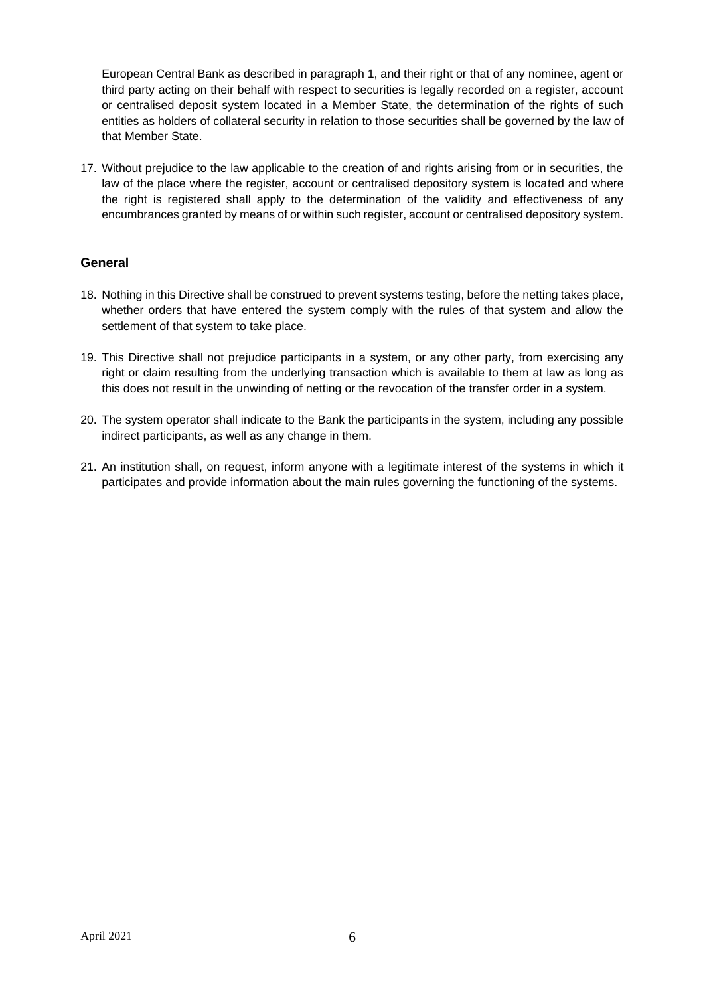European Central Bank as described in paragraph 1, and their right or that of any nominee, agent or third party acting on their behalf with respect to securities is legally recorded on a register, account or centralised deposit system located in a Member State, the determination of the rights of such entities as holders of collateral security in relation to those securities shall be governed by the law of that Member State.

17. Without prejudice to the law applicable to the creation of and rights arising from or in securities, the law of the place where the register, account or centralised depository system is located and where the right is registered shall apply to the determination of the validity and effectiveness of any encumbrances granted by means of or within such register, account or centralised depository system.

# **General**

- 18. Nothing in this Directive shall be construed to prevent systems testing, before the netting takes place, whether orders that have entered the system comply with the rules of that system and allow the settlement of that system to take place.
- 19. This Directive shall not prejudice participants in a system, or any other party, from exercising any right or claim resulting from the underlying transaction which is available to them at law as long as this does not result in the unwinding of netting or the revocation of the transfer order in a system.
- 20. The system operator shall indicate to the Bank the participants in the system, including any possible indirect participants, as well as any change in them.
- 21. An institution shall, on request, inform anyone with a legitimate interest of the systems in which it participates and provide information about the main rules governing the functioning of the systems.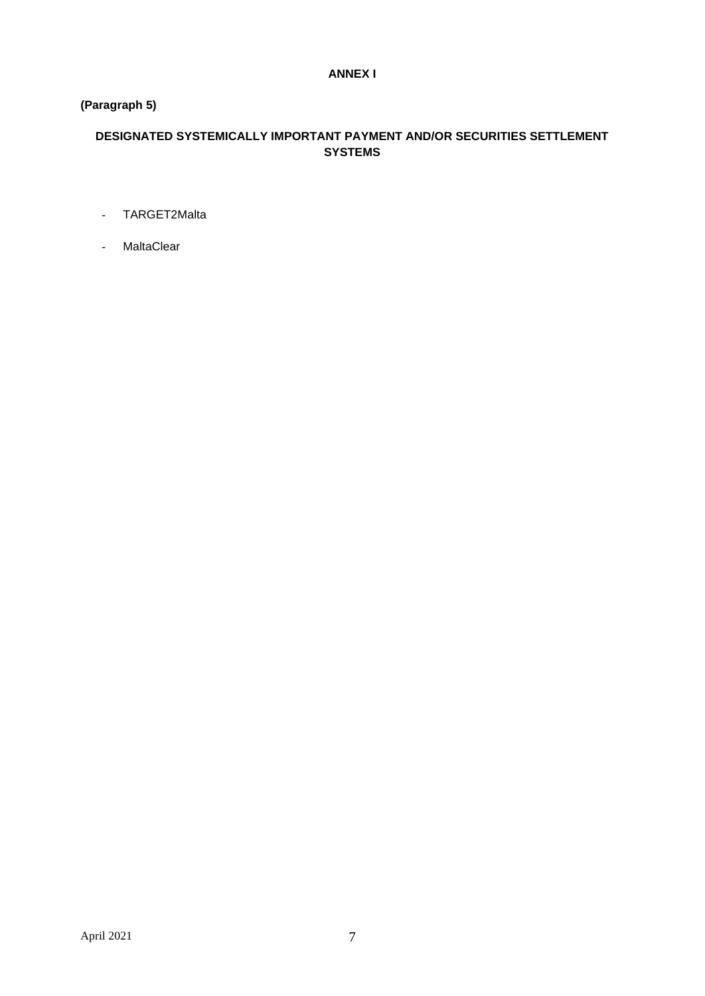## **ANNEX I**

# **(Paragraph 5)**

# **DESIGNATED SYSTEMICALLY IMPORTANT PAYMENT AND/OR SECURITIES SETTLEMENT SYSTEMS**

- TARGET2Malta
- MaltaClear